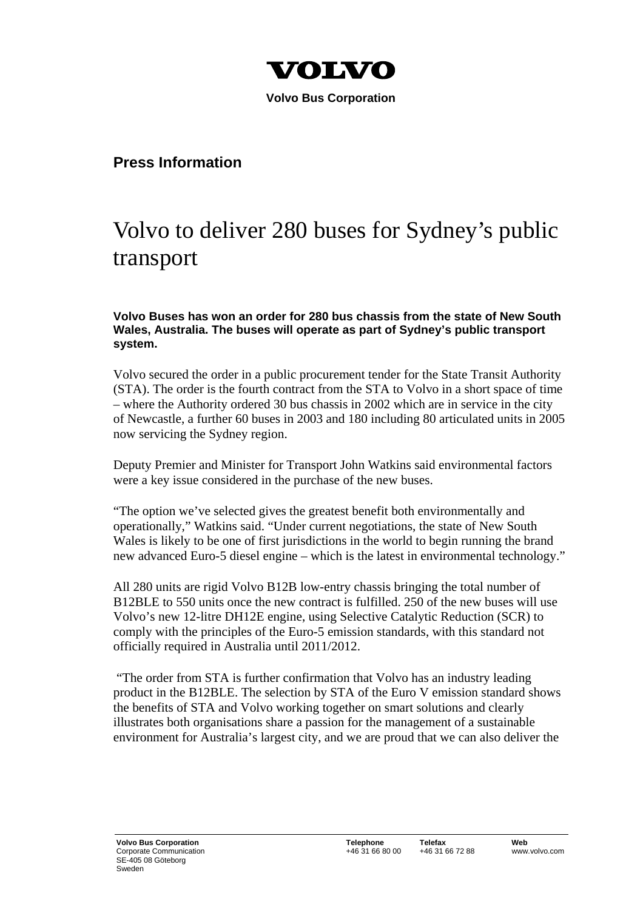

 **Volvo Bus Corporation** 

## **Press Information**

## Volvo to deliver 280 buses for Sydney's public transport

## **Volvo Buses has won an order for 280 bus chassis from the state of New South Wales, Australia. The buses will operate as part of Sydney's public transport system.**

Volvo secured the order in a public procurement tender for the State Transit Authority (STA). The order is the fourth contract from the STA to Volvo in a short space of time – where the Authority ordered 30 bus chassis in 2002 which are in service in the city of Newcastle, a further 60 buses in 2003 and 180 including 80 articulated units in 2005 now servicing the Sydney region.

Deputy Premier and Minister for Transport John Watkins said environmental factors were a key issue considered in the purchase of the new buses.

"The option we've selected gives the greatest benefit both environmentally and operationally," Watkins said. "Under current negotiations, the state of New South Wales is likely to be one of first jurisdictions in the world to begin running the brand new advanced Euro-5 diesel engine – which is the latest in environmental technology."

All 280 units are rigid Volvo B12B low-entry chassis bringing the total number of B12BLE to 550 units once the new contract is fulfilled. 250 of the new buses will use Volvo's new 12-litre DH12E engine, using Selective Catalytic Reduction (SCR) to comply with the principles of the Euro-5 emission standards, with this standard not officially required in Australia until 2011/2012.

 "The order from STA is further confirmation that Volvo has an industry leading product in the B12BLE. The selection by STA of the Euro V emission standard shows the benefits of STA and Volvo working together on smart solutions and clearly illustrates both organisations share a passion for the management of a sustainable environment for Australia's largest city, and we are proud that we can also deliver the